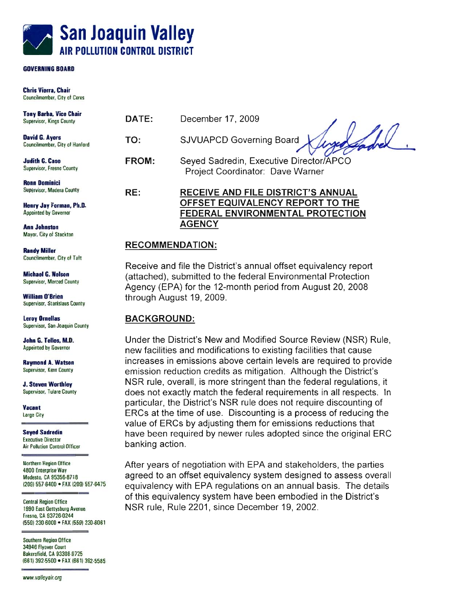

## **AIR POLLUTION COMTROL DISTRICT**

**Chris Vierra, Chair** 

| <b>Tony Barba, Vice Chair</b><br>Supervisor, Kings County | DATE:        | December 17, 2009                                                           |
|-----------------------------------------------------------|--------------|-----------------------------------------------------------------------------|
| David G. Ayers<br>Councilmember, City of Hanford          | TO:          | SJVUAPCD Governing Board                                                    |
| <b>Judith G. Case</b><br>Supervisor, Fresno County        | <b>FROM:</b> | Seyed Sadredin, Executive Director/APCO<br>Project Coordinator: Dave Warner |
| <b>Ronn Dominici</b>                                      |              |                                                                             |
| Supervisor, Madera County                                 | RE:          | <b>RECEIVE AND FILE DISTRICT'S ANNUAL</b>                                   |
| Henry Jay Forman, Ph.D.                                   |              | OFFSET EQUIVALENCY REPORT TO THE                                            |
|                                                           |              |                                                                             |

**AGENCY** AGENCY

**Appointed by Governor** 

**Ann Johnston** Mayor, City of Stockton **Ann Johnstnn** 

**Randy Miller MHbr** 

**Michael G. Nelson Supervisor, Merced County** 

**William O'Brien William O'Mm** 

**Leroy Ornellas** lamy **Onla8** 

Supervisor, San Joaquin County<br>**John G. Telles, M.D.**<br>Appointed by Governor **John 6. Te#sr. M.D.** 

**Raymond A. Watson** Supervisor, Kern County **Raymad h. Wman** 

**J. Steven Worthley Supervisor, Tulare County** 

**Vacant Large City** 

**Seyed Sadredin Executive Director Air Pollution Control Officer** 

**Exmtivm Director** 

**Northern Region Office** 4800 Enterprise Way Modesto, CA 95356-8718

1990 East Gettysburg Avenue **Fresno, CA 93726-0244 1960 CD4010 1960 CD401 CD401 CD401 CD401 CD401 CD401** 

**Southern Region Office S4946 Flyover Court<br>Bakersfield, CA 93308-9725 (661) 392-5500 • FAX (661) 392-5585 Wd, CA 93308-9725** 

www.valleyair.org

**Frerm, CA 937284244** 

through August 19, 2009.

through August 19, 2009.

Under the District's New and Modified Source Review (NSR) Rule, new facilities and modifications to existing facilities that cause increases in emissions above certain levels are required to provide emission reduction credits as mitigation. Although the District's NSR rule, overall, is more stringent than the federal regulations, it does not exactly match the federal requirements in all respects. In particular, the District's NSR rule does not require discounting of ERCs at the time of use. Discounting is a process of reducing the value of ERCs by adjusting them for emissions reductions that have been required by newer rules adopted since the original ERC banking action.

<u>FEDERAL ENVIRONMENTAL PROTECTIO</u>

Receive and file the District's annual offset equivalency report (attached), submitted to the federal Environmental Protection Agency (EPA) for the 12-month period from August 20, 2008

After years of negotiation with EPA and stakeholders, the parties **ssocial charpits war and a final and state Equivalency system designed to assess overall<br>
Modesto, CA 95356-8718<br>
(209) 557-6400 • FAX (209) 557-6475<br>
COULD BE A considered to an official EPA requiredness on an annual bas** equivalency with EPA regulations on an annual basis. The details **<u>Fentral Region Office</u> and an analyzing of this equivalency system have been embodied in the District's.** NSR rule, Rule 2201, since December 19, 2002.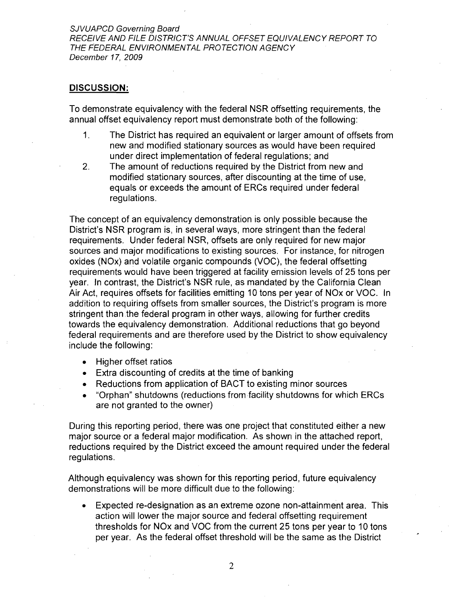SJVUAPCD Governing Board RECEIVE AND FILE DISTRICT'S ANNUAL OFFSET EQUIVALENCY REPORT TO THE FEDERAL ENVIRONMENTAL PROTECTION AGENCY December 17, 2009

#### **DISCUSSION:**

To demonstrate equivalency with the federal NSR offsetting requirements, the annual offset equivalency report must demonstrate both of the following:

- 1. The District has required an equivalent or larger amount of offsets from new and modified stationary sources as would have been required under direct implementation of federal regulations; and
- 2. The amount of reductions required by the District from new and modified stationary sources, after discounting at the time of use, equals or exceeds the amount of ERCs required under federal regulations.

The concept of an equivalency demonstration is only possible because the District's NSR program is, in several ways, more stringent than the federal requirements. Under federal NSR, offsets are only required for new major sources and major modifications to existing sources. For instance, for nitrogen oxides (NOx) and volatile organic compounds (VOC), the federal offsetting requirements would have been triggered at facility emission levels of 25 tons per year. In contrast, the District's NSR rule, as mandated by the California Clean Air Act, requires offsets for facilities emitting 10 tons per year of NOx or VOC. In addition to requiring offsets from smaller sources, the District's program is more stringent than the federal program in other ways, allowing for further credits towards the equivalency demonstration. Additional reductions that go beyond federal requirements and are therefore used by the District to show equivalency include the following:

- Higher offset ratios
- Extra discounting of credits at the time of banking
- Reductions from application of BACT to existing minor sources
- "Orphan" shutdowns (reductions fromfacility shutdowns for which ERCs  $\bullet$ are not granted to the owner)

During this reporting period, there was one project that constituted either a new major source or a federal major modification. As shown in the attached report, reductions required by the District exceed the amount required under the federal regulations.

Although equivalency was shown for this reporting period, future equivalency demonstrations will be more difficult due to the following:

• Expected re-designation as an extreme ozone non-attainment area. This action will lower the major source and federal offsetting requirement thresholds for NOx and VOC from the current 25 tons per year to 10 tons per year. As the federal offset threshold will be the same as the District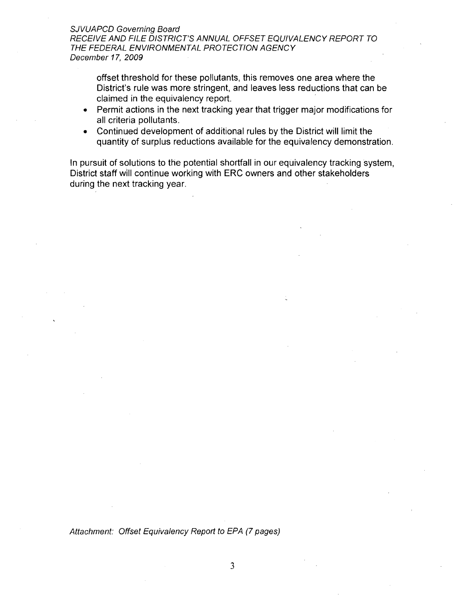#### SJVUAPCD Governing Board RECEIVE AND FILE DISTRICT'S ANNUAL OFFSET EQUIVALENCY REPORT TO THE FEDERAL ENVIRONMENTAL PROTECTION AGENCY December 17, 2009

offset threshold for these pollutants, this removes one area where the District's rule was more stringent, and leaves less reductions that can be claimed in the equivalency report.

- Permit actions in the next tracking year that trigger major modifications for all criteria pollutants.
- Continued development of additional rules by the District will limit the  $\bullet$ quantity of surplus reductions available for the equivalency demonstration.

In pursuit of solutions to the potential shortfall in our equivalency tracking system, District staff will continue working with ERC owners and other stakeholders during the next tracking year.

Attachment: Offset Equivalency Report to EPA (7 pages)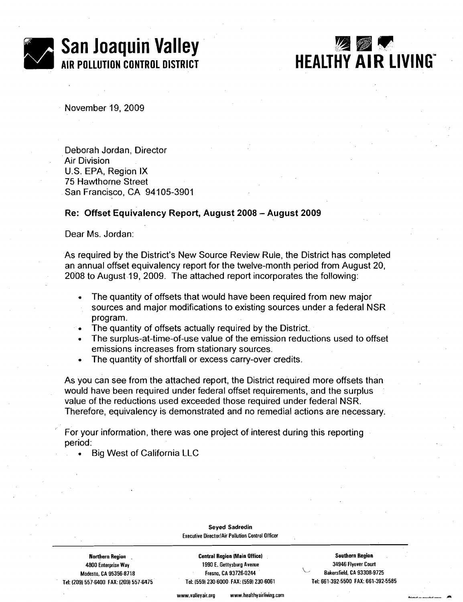

# **HEALTHY AIR LIVING"**

November 19,2009

Deborah Jordan, Director Air Division U.S. EPA, Region IX 75 Hawthorne Street San Francisco, CA 94105-3901

#### Re: Offset Equivalency Report, August **2008** - August **<sup>2009</sup>**

Dear Ms. Jordan:

As required by the District's New Source Review Rule, the District has completed an annual offset equivalency report for the twelve-month period from August 20, 2008 to August 19, 2009. The attached report incorporates the following:

- The quantity of offsets that would have been required from new major sources and major modifications to existing sources under a federal NSR program.
- The quantity of offsets actually required by the District.
- The surplus-at-time-of-use value of the emission reductions used to offset emissions increases from stationary sources.
- The quantity of shortfall or excess carry-over credits.  $\bullet$

As you can see from the attached report, the District required more offsets than would have been required under federal offset requirements, and the surplus value of the reductions used exceeded those required under federal NSR. Therefore, equivalency is demonstrated and no remedial actions are necessary.

For your information, there was one project of interest during this reporting period:

Big West of California LLC

#### **Seyed Sadredin Executive OirectorlAir Pollution Control Officer**

**Tel: (2091 557-6400 FAX: (2091 557.6475 Tet (5591 230-6000 FAX: (559) 230-6061 Tel: 661-392.5500 FAX: 661-392.5585** 

**Northern Region** . **Central Region (Main Office1 Southern Region 4800 Enterprise Way 1990 E. Gettysburg Avenue 34946 Flyover Court Modesto. CA 95356-8718 Fresno, CA 93726.0244 Bakersfield, CA 93308-9725** 

www.vallevair.org www.healthyairliving.com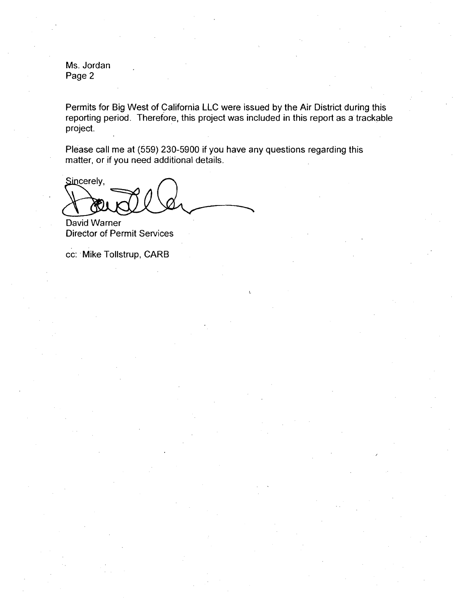Ms. Jordan Page 2

Permits for Big West of California LLC were issued by the Air District during this reporting period. Therefore, this project was included in this report as a trackable project.

Please call me at (559) 230-5900 if you have any questions regarding this matter, or if you need additional details.

Sincerely,

David Warner Director of Permit Services

cc: Mike Tollstrup, CARB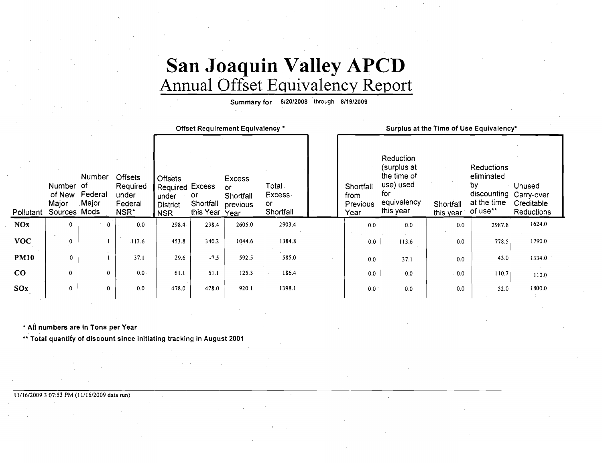# **San Joaquin Valley APCD**  Annual Offset Equivalency Report

**Summary for 812012008** through **811912009** 

|                        |                                                  |                                   |                                                        |                                                                             | Offset Requirement Equivalency * |                                                |                                             |  | Surplus at the Time of Use Equivalency* |                                                                                         |                        |                                                                                     |                                    |
|------------------------|--------------------------------------------------|-----------------------------------|--------------------------------------------------------|-----------------------------------------------------------------------------|----------------------------------|------------------------------------------------|---------------------------------------------|--|-----------------------------------------|-----------------------------------------------------------------------------------------|------------------------|-------------------------------------------------------------------------------------|------------------------------------|
| Pollutant              | <b>Number</b><br>of New<br>Major<br>Sources Mods | Number<br>-of<br>Federal<br>Major | <b>Offsets</b><br>Required<br>under<br>Federal<br>NSR* | <b>Offsets</b><br>Required Excess<br>under<br><b>District</b><br><b>NSR</b> | or<br>Shortfall<br>this Year     | Excess<br>or.<br>Shortfall<br>previous<br>Year | Total .<br><b>Excess</b><br>or<br>Shortfall |  | Shortfall<br>from<br>Previous<br>Year   | Reduction<br>(surplus at<br>the time of<br>use) used<br>for<br>equivalency<br>this year | Shortfall<br>this year | Reductions<br>eliminated<br>by<br>discounting Carry-over<br>at the time<br>of use** | Unused<br>Creditable<br>Reductions |
| <b>NOx</b>             | $\mathbf{0}$                                     | $\mathbf{0}$                      | 0.0                                                    | 298.4                                                                       | 298.4                            | 2605.0                                         | 2903.4                                      |  | 0.0                                     | 0.0                                                                                     | 0.0                    | 2987.8                                                                              | 1624.0                             |
| <b>VOC</b>             | 0                                                |                                   | 113.6                                                  | 453.8                                                                       | 340.2                            | 1044.6                                         | 1384.8                                      |  | 0.0                                     | 113.6                                                                                   | 0.0                    | 778.5                                                                               | 1790.0                             |
| <b>PM10</b>            | 0                                                |                                   | 37.1                                                   | 29.6                                                                        | $-7.5$                           | 592.5                                          | 585.0                                       |  | 0.0                                     | 37.1                                                                                    | 0.0                    | 43.0                                                                                | 1334.0                             |
| $\mathbf{C}\mathbf{O}$ | $\Omega$                                         | 0                                 | 0.0                                                    | 61.1                                                                        | 61.1                             | 125.3                                          | 186.4                                       |  | 0.0                                     | 0.0                                                                                     | . 0.0                  | 110.7                                                                               | 110.0                              |
| SOx                    | $\Omega$                                         | 0                                 | 0.0                                                    | 478.0                                                                       | 478.0                            | 920.1                                          | 1398.1                                      |  | 0.0                                     | 0.0                                                                                     | 0.0                    | 52.0                                                                                | 1800.0                             |
|                        |                                                  |                                   |                                                        |                                                                             |                                  |                                                |                                             |  |                                         |                                                                                         |                        |                                                                                     |                                    |

\* **AII numbers are in Tons per Year** 

\*\* Total quantity of discount since initiating tracking in August 2001

#### **11/16/2009 3:07:53 PM (1 1/16/2009 data run)**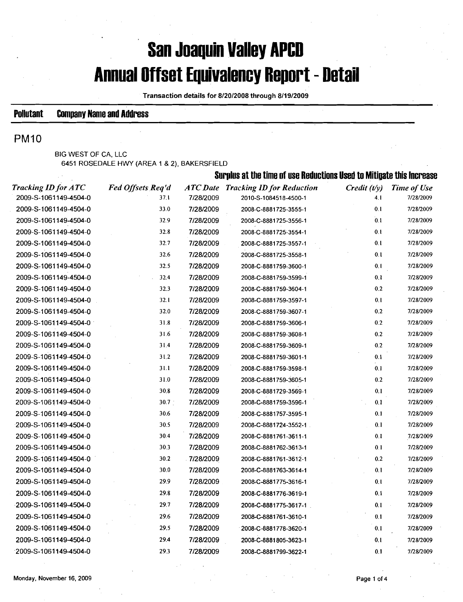# **San Joaquin Valley APCD Annual Offset Equivalency Report** - **Detail**

**Transaction details for 8/20/2008 through 8/19/2009** 

### **Pollutant Company Nanie and Address**

### **PM10**

**BIG WEST OF CA, LLC 6451 ROSEDALE** HWY **(AREA 1** & **2), BAKERSFIELD** 

|                            |                   | Surplus at the time of use Reductions Used to Mitigate this Increase |                                           |                |             |  |  |  |
|----------------------------|-------------------|----------------------------------------------------------------------|-------------------------------------------|----------------|-------------|--|--|--|
| <b>Tracking ID for ATC</b> | Fed Offsets Req'd |                                                                      | <b>ATC Date Tracking ID for Reduction</b> | Credit $(t/y)$ | Time of Use |  |  |  |
| 2009-S-1061149-4504-0      | 37.1              | 7/28/2009                                                            | 2010-S-1084518-4500-1                     | 4.1            | 7/28/2009   |  |  |  |
| 2009-S-1061149-4504-0      | 33.0              | 7/28/2009                                                            | 2008-C-8881725-3555-1                     | 0.1            | 7/28/2009   |  |  |  |
| 2009-S-1061149-4504-0      | 32.9              | 7/28/2009                                                            | 2008-C-8881725-3556-1                     | 0.1            | 7/28/2009   |  |  |  |
| 2009-S-1061149-4504-0      | 32.8              | 7/28/2009                                                            | 2008-C-8881725-3554-1                     | 0.1            | 7/28/2009   |  |  |  |
| 2009-S-1061149-4504-0      | 32.7              | 7/28/2009                                                            | 2008-C-8881725-3557-1                     | 0.1            | 7/28/2009   |  |  |  |
| 2009-S-1061149-4504-0      | 32.6              | 7/28/2009                                                            | 2008-C-8881725-3558-1                     | 0.1            | 7/28/2009   |  |  |  |
| 2009-S-1061149-4504-0      | 32.5              | 7/28/2009                                                            | 2008-C-8881759-3600-1                     | 0.1            | 7/28/2009   |  |  |  |
| 2009-S-1061149-4504-0      | 32.4              | 7/28/2009                                                            | 2008-C-8881759-3599-1                     | 0.1            | 7/28/2009   |  |  |  |
| 2009-S-1061149-4504-0      | 32.3              | 7/28/2009                                                            | 2008-C-8881759-3604-1                     | 0.2            | 7/28/2009   |  |  |  |
| 2009-S-1061149-4504-0      | 32.1              | 7/28/2009                                                            | 2008-C-8881759-3597-1                     | 0.1            | 7/28/2009   |  |  |  |
| 2009-S-1061149-4504-0      | 32.0              | 7/28/2009                                                            | 2008-C-8881759-3607-1                     | 0.2            | 7/28/2009   |  |  |  |
| 2009-S-1061149-4504-0      | 31.8              | 7/28/2009                                                            | 2008-C-8881759-3606-1                     | 0.2            | 7/28/2009   |  |  |  |
| 2009-S-1061149-4504-0      | 31.6              | 7/28/2009                                                            | 2008-C-8881759-3608-1                     | 0.2            | 7/28/2009   |  |  |  |
| 2009-S-1061149-4504-0      | 31.4              | 7/28/2009                                                            | 2008-C-8881759-3609-1                     | 0.2            | 7/28/2009   |  |  |  |
| 2009-S-1061149-4504-0      | 31.2              | 7/28/2009                                                            | 2008-C-8881759-3601-1                     | 0.1            | 7/28/2009   |  |  |  |
| 2009-S-1061149-4504-0      | 31.1              | 7/28/2009                                                            | 2008-C-8881759-3598-1                     | 0.1            | 7/28/2009   |  |  |  |
| 2009-S-1061149-4504-0      | 31.0              | 7/28/2009                                                            | 2008-C-8881759-3605-1                     | 0.2            | 7/28/2009   |  |  |  |
| 2009-S-1061149-4504-0      | 30.8              | 7/28/2009                                                            | 2008-C-8881729-3569-1                     | 0.1            | 7/28/2009   |  |  |  |
| 2009-S-1061149-4504-0      | $30.7 -$          | 7/28/2009                                                            | 2008-C-8881759-3596-1                     | 0.1            | 7/28/2009   |  |  |  |
| 2009-S-1061149-4504-0      | 30.6              | 7/28/2009                                                            | 2008-C-8881757-3595-1                     | 0.1            | 7/28/2009   |  |  |  |
| 2009-S-1061149-4504-0      | 30.5              | 7/28/2009                                                            | 2008-C-8881724-3552-1                     | 0.1            | 7/28/2009   |  |  |  |
| 2009-S-1061149-4504-0      | 30.4              | 7/28/2009                                                            | 2008-C-8881761-3611-1                     | 0.1            | 7/28/2009   |  |  |  |
| 2009-S-1061149-4504-0      | 30.3              | 7/28/2009                                                            | 2008-C-8881762-3613-1                     | 0.1            | 7/28/2009   |  |  |  |
| 2009-S-1061149-4504-0      | 30.2              | 7/28/2009                                                            | 2008-C-8881761-3612-1                     | 0.2            | 7/28/2009   |  |  |  |
| 2009-S-1061149-4504-0      | 30.0              | 7/28/2009                                                            | 2008-C-8881763-3614-1                     | 0.1            | 7/28/2009   |  |  |  |
| 2009-S-1061149-4504-0      | 29.9              | 7/28/2009                                                            | 2008-C-8881775-3616-1                     | 0,1            | 7/28/2009   |  |  |  |
| 2009-S-1061149-4504-0      | 29.8              | 7/28/2009                                                            | 2008-C-8881776-3619-1                     | 0.1            | 7/28/2009   |  |  |  |
| 2009-S-1061149-4504-0      | 29.7              | 7/28/2009                                                            | 2008-C-8881775-3617-1                     | 0.1            | 7/28/2009   |  |  |  |
| 2009-S-1061149-4504-0      | 29.6              | 7/28/2009                                                            | 2008-C-8881761-3610-1                     | 0.1            | 7/28/2009   |  |  |  |
| 2009-S-1061149-4504-0      | 29.5              | 7/28/2009                                                            | 2008-C-8881778-3620-1                     | 0.1            | 7/28/2009   |  |  |  |
| 2009-S-1061149-4504-0      | 29.4              | 7/28/2009                                                            | 2008-C-8881805-3623-1                     | 0.1            | 7/28/2009   |  |  |  |
| 2009-S-1061149-4504-0      | 29.3              | 7/28/2009                                                            | 2008-C-8881799-3622-1                     | 0.1            | 7/28/2009   |  |  |  |
|                            |                   |                                                                      |                                           |                |             |  |  |  |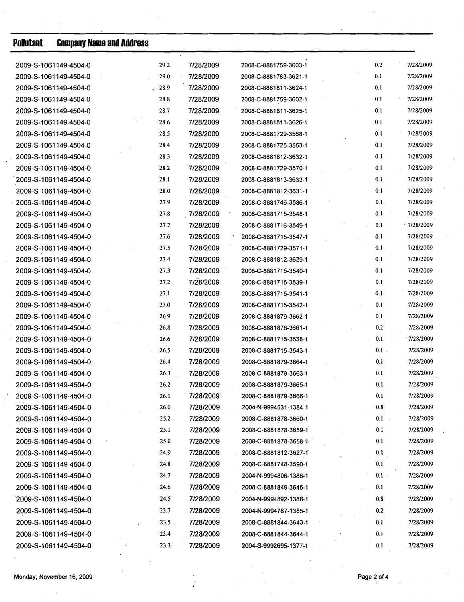| <b>Pollutant</b> | <b>Company Name and Address</b> |         |           |                       |         |           |
|------------------|---------------------------------|---------|-----------|-----------------------|---------|-----------|
|                  | 2009-S-1061149-4504-0           | 29.2    | 7/28/2009 | 2008-C-8881759-3603-1 | 0.2     | 7/28/2009 |
|                  | 2009-S-1061149-4504-0           | 29.0    | 7/28/2009 | 2008-C-8881783-3621-1 | 0.1     | 7/28/2009 |
|                  | 2009-S-1061149-4504-0           | $-28.9$ | 7/28/2009 | 2008-C-8881811-3624-1 | 0.1     | 7/28/2009 |
|                  | 2009-S-1061149-4504-0           | 28.8    | 7/28/2009 | 2008-C-8881759-3602-1 | 0.1     | 7/28/2009 |
|                  | 2009-S-1061149-4504-0           | 28.7    | 7/28/2009 | 2008-C-8881811-3625-1 | 0.1     | 7/28/2009 |
|                  | 2009-S-1061149-4504-0           | 28.6    | 7/28/2009 | 2008-C-8881811-3626-1 | 0.1     | 7/28/2009 |
|                  | 2009-S-1061149-4504-0           | 28.5    | 7/28/2009 | 2008-C-8881729-3568-1 | 0.1     | 7/28/2009 |
|                  | 2009-S-1061149-4504-0           | 28.4    | 7/28/2009 | 2008-C-8881725-3553-1 | 0.1     | 7/28/2009 |
|                  | 2009-S-1061149-4504-0           | 28.3    | 7/28/2009 | 2008-C-8881812-3632-1 | 0.1     | 7/28/2009 |
|                  | 2009-S-1061149-4504-0           | 28.2    | 7/28/2009 | 2008-C-8881729-3570-1 | 0.1     | 7/28/2009 |
|                  | 2009-S-1061149-4504-0           | 28.1    | 7/28/2009 | 2008-C-8881813-3633-1 | 0.1     | 7/28/2009 |
|                  | 2009-S-1061149-4504-0           | 28.0    | 7/28/2009 | 2008-C-8881812-3631-1 | 0.1     | 7/28/2009 |
|                  | 2009-S-1061149-4504-0           | 27.9    | 7/28/2009 | 2008-C-8881746-3586-1 | 0.1     | 7/28/2009 |
|                  | 2009-S-1061149-4504-0           | 27.8    | 7/28/2009 | 2008-C-8881715-3548-1 | 0.1     | 7/28/2009 |
|                  | 2009-S-1061149-4504-0           | 27.7    | 7/28/2009 | 2008-C-8881716-3549-1 | 0.1     | 7/28/2009 |
|                  | 2009-S-1061149-4504-0           | 27.6    | 7/28/2009 | 2008-C-8881715-3547-1 | 0.1     | 7/28/2009 |
|                  | 2009-S-1061149-4504-0           | 27.5    | 7/28/2009 | 2008-C-8881729-3571-1 | 0.1     | 7/28/2009 |
|                  | 2009-S-1061149-4504-0           | 27.4    | 7/28/2009 | 2008-C-8881812-3629-1 | 0.1     | 7/28/2009 |
|                  | 2009-S-1061149-4504-0           | 27.3    | 7/28/2009 | 2008-C-8881715-3540-1 | 0.1     | 7/28/2009 |
|                  | 2009-S-1061149-4504-0           | 27.2    | 7/28/2009 | 2008-C-8881715-3539-1 | 0.1     | 7/28/2009 |
|                  | 2009-S-1061149-4504-0           | 27.1    | 7/28/2009 | 2008-C-8881715-3541-1 | 0.1     | 7/28/2009 |
|                  | 2009-S-1061149-4504-0           | 27.0    | 7/28/2009 | 2008-C-8881715-3542-1 | 0.1     | 7/28/2009 |
|                  | 2009-S-1061149-4504-0           | 26.9    | 7/28/2009 | 2008-C-8881879-3662-1 | 0.1     | 7/28/2009 |
|                  | 2009-S-1061149-4504-0           | 26.8    | 7/28/2009 | 2008-C-8881878-3661-1 | 0.2     | 7/28/2009 |
|                  | 2009-S-1061149-4504-0           | 26.6    | 7/28/2009 | 2008-C-8881715-3538-1 | 0.1     | 7/28/2009 |
|                  | 2009-S-1061149-4504-0           | 26.5    | 7/28/2009 | 2008-C-8881715-3543-1 | 0.1     | 7/28/2009 |
|                  | 2009-S-1061149-4504-0           | 26.4    | 7/28/2009 | 2008-C-8881879-3664-1 | 0.1     | 7/28/2009 |
|                  | 2009-S-1061149-4504-0           | 26.3    | 7/28/2009 | 2008-C-8881879-3663-1 | 0.1     | 7/28/2009 |
|                  | 2009-S-1061149-4504-0           | 26.2    | 7/28/2009 | 2008-C-8881879-3665-1 | 0.1     | 7/28/2009 |
|                  | 2009-S-1061149-4504-0           | 26.1    | 7/28/2009 | 2008-C-8881879-3666-1 | 0.1     | 7/28/2009 |
|                  | 2009-S-1061149-4504-0           | 26.0    | 7/28/2009 | 2004-N-9994531-1384-1 | 0.8     | 7/28/2009 |
|                  | 2009-S-1061149-4504-0           | 25.2    | 7/28/2009 | 2008-C-8881878-3660-1 | 0.1     | 7/28/2009 |
|                  | 2009-S-1061149-4504-0           | 25.1    | 7/28/2009 | 2008-C-8881878-3659-1 | 0.1     | 7/28/2009 |
|                  | 2009-S-1061149-4504-0           | 25.0    | 7/28/2009 | 2008-C-8881878-3658-1 | 0.1     | 7/28/2009 |
|                  | 2009-S-1061149-4504-0           | 24.9    | 7/28/2009 | 2008-C-8881812-3627-1 | 0.1     | 7/28/2009 |
|                  | 2009-S-1061149-4504-0           | 24.8    | 7/28/2009 | 2008-C-8881748-3590-1 | 0.1     | 7/28/2009 |
|                  | 2009-S-1061149-4504-0           | 24.7    | 7/28/2009 | 2004-N-9994806-1386-1 | $0.1$ . | 7/28/2009 |
|                  | 2009-S-1061149-4504-0           | 24.6    | 7/28/2009 | 2008-C-8881849-3645-1 | 0.1     | 7/28/2009 |
|                  | 2009-S-1061149-4504-0           | 24.5    | 7/28/2009 | 2004-N-9994892-1388-1 | 0.8     | 7/28/2009 |
|                  | 2009-S-1061149-4504-0           | 23.7    | 7/28/2009 | 2004-N-9994787-1385-1 | 0.2     | 7/28/2009 |
|                  | 2009-S-1061149-4504-0           | 23.5    | 7/28/2009 | 2008-C-8881844-3643-1 | 0.1     | 7/28/2009 |
|                  | 2009-S-1061149-4504-0           | 23.4    | 7/28/2009 | 2008-C-8881844-3644-1 | 0.1     | 7/28/2009 |
|                  | 2009-S-1061149-4504-0           | 23.3    | 7/28/2009 | 2004-S-9992695-1377-1 | 0.1     | 7/28/2009 |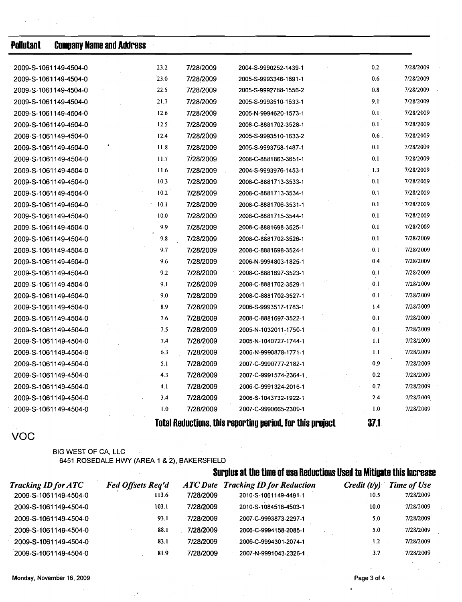| <b>Pollutant</b>      | <b>Company Name and Address</b> |      |           |                                                           |         |            |
|-----------------------|---------------------------------|------|-----------|-----------------------------------------------------------|---------|------------|
| 2009-S-1061149-4504-0 |                                 | 23.2 | 7/28/2009 | 2004-S-9990252-1439-1                                     | 0.2     | 7/28/2009  |
| 2009-S-1061149-4504-0 |                                 | 23.0 | 7/28/2009 | 2005-S-9993346-1691-1                                     | 0.6     | 7/28/2009  |
| 2009-S-1061149-4504-0 |                                 | 22.5 | 7/28/2009 | 2005-S-9992788-1556-2                                     | 0.8     | 7/28/2009  |
| 2009-S-1061149-4504-0 |                                 | 21.7 | 7/28/2009 | 2005-S-9993510-1633-1                                     | 9.1     | 7/28/2009  |
| 2009-S-1061149-4504-0 |                                 | 12.6 | 7/28/2009 | 2005-N-9994620-1573-1                                     | 0.1     | 7/28/2009  |
| 2009-S-1061149-4504-0 |                                 | 12.5 | 7/28/2009 | 2008-C-8881702-3528-1                                     | 0.1     | 7/28/2009  |
| 2009-S-1061149-4504-0 |                                 | 12.4 | 7/28/2009 | 2005-S-9993510-1633-2                                     | $0.6$ . | 7/28/2009  |
| 2009-S-1061149-4504-0 |                                 | 11.8 | 7/28/2009 | 2005-S-9993758-1487-1                                     | 0.1     | 7/28/2009  |
| 2009-S-1061149-4504-0 |                                 | 11.7 | 7/28/2009 | 2008-C-8881863-3651-1                                     | 0.1     | 7/28/2009  |
| 2009-S-1061149-4504-0 |                                 | 11.6 | 7/28/2009 | 2004-S-9993976-1453-1                                     | 1.3     | 7/28/2009  |
| 2009-S-1061149-4504-0 |                                 | 10.3 | 7/28/2009 | 2008-C-8881713-3533-1                                     | 0.1     | 7/28/2009  |
| 2009-S-1061149-4504-0 |                                 | 10.2 | 7/28/2009 | 2008-C-8881713-3534-1                                     | 0.1     | 7/28/2009  |
| 2009-S-1061149-4504-0 |                                 | 10.1 | 7/28/2009 | 2008-C-8881706-3531-1                                     | 0.1     | .7/28/2009 |
| 2009-S-1061149-4504-0 |                                 | 10.0 | 7/28/2009 | 2008-C-8881715-3544-1                                     | 0.1     | 7/28/2009  |
| 2009-S-1061149-4504-0 |                                 | 9.9  | 7/28/2009 | 2008-C-8881698-3525-1                                     | 0.1     | 7/28/2009  |
| 2009-S-1061149-4504-0 |                                 | 9.8  | 7/28/2009 | 2008-C-8881702-3526-1                                     | 0.1     | 7/28/2009  |
| 2009-S-1061149-4504-0 |                                 | 9.7  | 7/28/2009 | 2008-C-8881698-3524-1                                     | 0.1     | 7/28/2009  |
| 2009-S-1061149-4504-0 |                                 | 9.6  | 7/28/2009 | 2006-N-9994803-1825-1                                     | 0.4     | 7/28/2009  |
| 2009-S-1061149-4504-0 |                                 | 9.2  | 7/28/2009 | 2008-C-8881697-3523-1                                     | 0.1     | 7/28/2009  |
| 2009-S-1061149-4504-0 |                                 | 9.1  | 7/28/2009 | 2008-C-8881702-3529-1                                     | 0.1     | 7/28/2009  |
| 2009-S-1061149-4504-0 |                                 | 9.0  | 7/28/2009 | 2008-C-8881702-3527-1                                     | 0.1     | 7/28/2009  |
| 2009-S-1061149-4504-0 |                                 | 8.9  | 7/28/2009 | 2006-S-9993517-1783-1                                     | 1.4     | 7/28/2009  |
| 2009-S-1061149-4504-0 |                                 | 7.6  | 7/28/2009 | 2008-C-8881697-3522-1                                     | 0.1     | 7/28/2009  |
| 2009-S-1061149-4504-0 |                                 | 7.5  | 7/28/2009 | 2005-N-1032011-1750-1                                     | 0.1     | 7/28/2009  |
| 2009-S-1061149-4504-0 |                                 | 7.4  | 7/28/2009 | 2005-N-1040727-1744-1                                     | 1.1     | 7/28/2009  |
| 2009-S-1061149-4504-0 |                                 | 6.3  | 7/28/2009 | 2006-N-9990878-1771-1                                     | 1,1     | 7/28/2009  |
| 2009-S-1061149-4504-0 |                                 | 5.1  | 7/28/2009 | 2007-C-9990777-2182-1                                     | 0.9     | 7/28/2009  |
| 2009-S-1061149-4504-0 |                                 | 4.3  | 7/28/2009 | 2007-C-9991574-2364-1.                                    | 0.2     | 7/28/2009  |
| 2009-S-1061149-4504-0 |                                 | 4.1  | 7/28/2009 | 2006-C-9991324-2016-1                                     | 0.7     | 7/28/2009  |
| 2009-S-1061149-4504-0 |                                 | 3.4  | 7/28/2009 | 2006-S-1043732-1922-1                                     | 2.4     | 7/28/2009  |
| 2009-S-1061149-4504-0 |                                 | 1.0  | 7/28/2009 | 2007-C-9990665-2309-1                                     | 1.0     | 7/28/2009  |
|                       |                                 |      |           | Total Reductions, this reporting period, for this project | 37.1    |            |

VOC

#### **BIG WEST OF CA, LLC 6451 ROSEDALE** HWY **(AREA 1** & **2), BAKERSFIELD**

# **Surplus at the time of use Reductions Used to Mitigate this Increase**

| <b>Tracking ID for ATC</b> | <b>Fed Offsets Req'd</b> |           | <b>ATC Date Tracking ID for Reduction</b> | $C$ redit $(t/v)$ | <b>Time of Use</b> |
|----------------------------|--------------------------|-----------|-------------------------------------------|-------------------|--------------------|
| 2009-S-1061149-4504-0      | 113.6                    | 7/28/2009 | 2010-S-1061149-4491-1                     | 10.5              | 7/28/2009          |
| 2009-S-1061149-4504-0      | 103.I                    | 7/28/2009 | 2010-S-1084518-4503-1                     | 10.0              | 7/28/2009          |
| 2009-S-1061149-4504-0      | 93.1                     | 7/28/2009 | 2007-C-9993873-2297-1                     | 5.0               | 7/28/2009          |
| 2009-S-1061149-4504-0      | 88.1                     | 7/28/2009 | 2006-C-9994158-2085-1                     | 5.0               | 7/28/2009          |
| 2009-S-1061149-4504-0      | 83.1                     | 7/28/2009 | 2006-C-9994301-2074-1                     | 1.2               | 7/28/2009          |
| 2009-S-1061149-4504-0      | 81.9                     | 7/28/2009 | 2007-N-9991043-2326-1                     | 3.7               | 7/28/2009          |